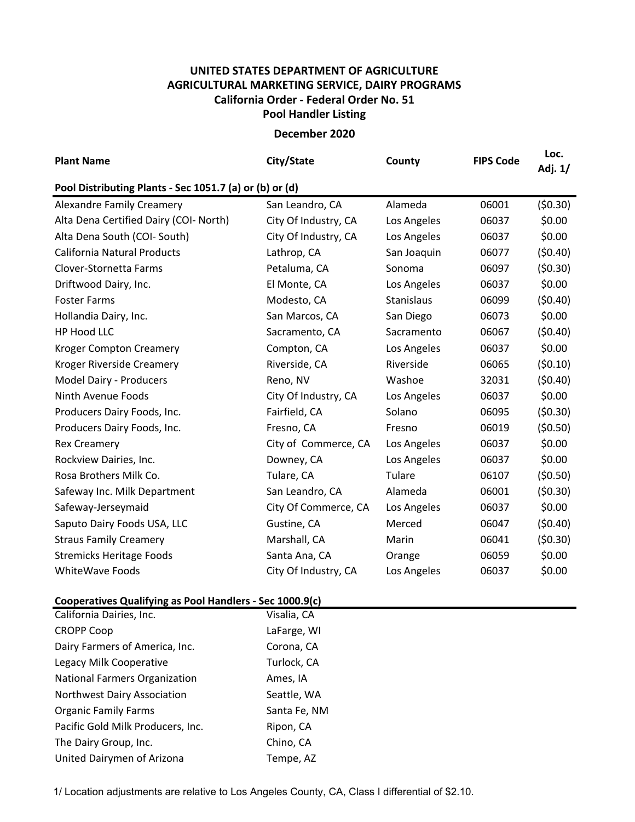## **UNITED STATES DEPARTMENT OF AGRICULTURE AGRICULTURAL MARKETING SERVICE, DAIRY PROGRAMS Pool Handler Listing California Order ‐ Federal Order No. 51**

**December 2020**

| <b>Plant Name</b>                                       | City/State           | County      | <b>FIPS Code</b> | Loc.<br>Adj. 1/ |  |  |  |  |  |
|---------------------------------------------------------|----------------------|-------------|------------------|-----------------|--|--|--|--|--|
| Pool Distributing Plants - Sec 1051.7 (a) or (b) or (d) |                      |             |                  |                 |  |  |  |  |  |
| <b>Alexandre Family Creamery</b>                        | San Leandro, CA      | Alameda     | 06001            | (50.30)         |  |  |  |  |  |
| Alta Dena Certified Dairy (COI- North)                  | City Of Industry, CA | Los Angeles | 06037            | \$0.00          |  |  |  |  |  |
| Alta Dena South (COI- South)                            | City Of Industry, CA | Los Angeles | 06037            | \$0.00          |  |  |  |  |  |
| <b>California Natural Products</b>                      | Lathrop, CA          | San Joaquin | 06077            | (50.40)         |  |  |  |  |  |
| Clover-Stornetta Farms                                  | Petaluma, CA         | Sonoma      | 06097            | (50.30)         |  |  |  |  |  |
| Driftwood Dairy, Inc.                                   | El Monte, CA         | Los Angeles | 06037            | \$0.00          |  |  |  |  |  |
| <b>Foster Farms</b>                                     | Modesto, CA          | Stanislaus  | 06099            | (50.40)         |  |  |  |  |  |
| Hollandia Dairy, Inc.                                   | San Marcos, CA       | San Diego   | 06073            | \$0.00          |  |  |  |  |  |
| HP Hood LLC                                             | Sacramento, CA       | Sacramento  | 06067            | (50.40)         |  |  |  |  |  |
| <b>Kroger Compton Creamery</b>                          | Compton, CA          | Los Angeles | 06037            | \$0.00          |  |  |  |  |  |
| Kroger Riverside Creamery                               | Riverside, CA        | Riverside   | 06065            | (50.10)         |  |  |  |  |  |
| Model Dairy - Producers                                 | Reno, NV             | Washoe      | 32031            | (50.40)         |  |  |  |  |  |
| Ninth Avenue Foods                                      | City Of Industry, CA | Los Angeles | 06037            | \$0.00          |  |  |  |  |  |
| Producers Dairy Foods, Inc.                             | Fairfield, CA        | Solano      | 06095            | (50.30)         |  |  |  |  |  |
| Producers Dairy Foods, Inc.                             | Fresno, CA           | Fresno      | 06019            | (50.50)         |  |  |  |  |  |
| <b>Rex Creamery</b>                                     | City of Commerce, CA | Los Angeles | 06037            | \$0.00          |  |  |  |  |  |
| Rockview Dairies, Inc.                                  | Downey, CA           | Los Angeles | 06037            | \$0.00          |  |  |  |  |  |
| Rosa Brothers Milk Co.                                  | Tulare, CA           | Tulare      | 06107            | (50.50)         |  |  |  |  |  |
| Safeway Inc. Milk Department                            | San Leandro, CA      | Alameda     | 06001            | (50.30)         |  |  |  |  |  |
| Safeway-Jerseymaid                                      | City Of Commerce, CA | Los Angeles | 06037            | \$0.00          |  |  |  |  |  |
| Saputo Dairy Foods USA, LLC                             | Gustine, CA          | Merced      | 06047            | (50.40)         |  |  |  |  |  |
| <b>Straus Family Creamery</b>                           | Marshall, CA         | Marin       | 06041            | (50.30)         |  |  |  |  |  |
| <b>Stremicks Heritage Foods</b>                         | Santa Ana, CA        | Orange      | 06059            | \$0.00          |  |  |  |  |  |
| <b>WhiteWave Foods</b>                                  | City Of Industry, CA | Los Angeles | 06037            | \$0.00          |  |  |  |  |  |
|                                                         |                      |             |                  |                 |  |  |  |  |  |

## **Cooperatives Qualifying as Pool Handlers ‐ Sec 1000.9(c)**

| California Dairies, Inc.             | Visalia, CA  |
|--------------------------------------|--------------|
| <b>CROPP Coop</b>                    | LaFarge, WI  |
| Dairy Farmers of America, Inc.       | Corona, CA   |
| Legacy Milk Cooperative              | Turlock, CA  |
| <b>National Farmers Organization</b> | Ames, IA     |
| Northwest Dairy Association          | Seattle, WA  |
| <b>Organic Family Farms</b>          | Santa Fe, NM |
| Pacific Gold Milk Producers, Inc.    | Ripon, CA    |
| The Dairy Group, Inc.                | Chino, CA    |
| United Dairymen of Arizona           | Tempe, AZ    |

1/ Location adjustments are relative to Los Angeles County, CA, Class I differential of \$2.10.